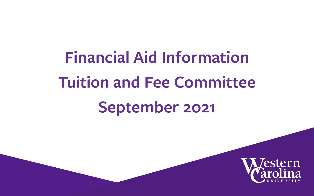# **Financial Aid Information Tuition and Fee Committee September 2021**

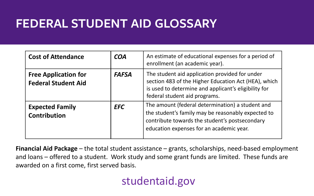#### **FEDERAL STUDENT AID GLOSSARY**

| <b>Cost of Attendance</b>                                 | <b>COA</b>   | An estimate of educational expenses for a period of<br>enrollment (an academic year).                                                                                                                |
|-----------------------------------------------------------|--------------|------------------------------------------------------------------------------------------------------------------------------------------------------------------------------------------------------|
| <b>Free Application for</b><br><b>Federal Student Aid</b> | <b>FAFSA</b> | The student aid application provided for under<br>section 483 of the Higher Education Act (HEA), which<br>is used to determine and applicant's eligibility for<br>federal student aid programs.      |
| <b>Expected Family</b><br><b>Contribution</b>             | <b>EFC</b>   | The amount (federal determination) a student and<br>the student's family may be reasonably expected to<br>contribute towards the student's postsecondary<br>education expenses for an academic year. |

**Financial Aid Package** – the total student assistance – grants, scholarships, need-based employment and loans – offered to a student. Work study and some grant funds are limited. These funds are awarded on a first come, first served basis.

#### studentaid.gov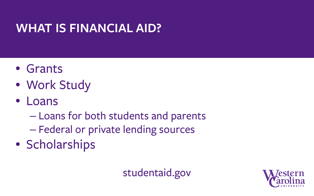### **WHAT IS FINANCIAL AID?**

- Grants
- Work Study
- Loans
	- Loans for both students and parents
	- Federal or private lending sources
- Scholarships

#### studentaid.gov

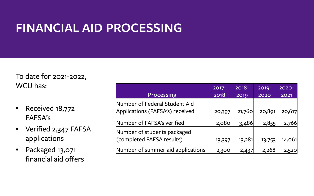### **FINANCIAL AID PROCESSING**

To date for 2021-2022, WCU has:

- Received 18,772 FAFSA's
- Verified 2,347 FAFSA applications
- Packaged 13,071 financial aid offers

|                                   | 2017-  | $2018 -$ | 2019-  | 2020-  |
|-----------------------------------|--------|----------|--------|--------|
| Processing                        | 2018   | 2019     | 2020   | 2021   |
| Number of Federal Student Aid     |        |          |        |        |
| Applications (FAFSA's) received   | 20,397 | 21,760   | 20,891 | 20,617 |
| Number of FAFSA's verified        | 2,080  | 3,486    | 2,855  | 2,766  |
| Number of students packaged       |        |          |        |        |
| (completed FAFSA results)         | 13,397 | 13,281   | 13,753 | 14,061 |
| Number of summer aid applications | 2,300  | 2,437    | 2,268  | 2,520  |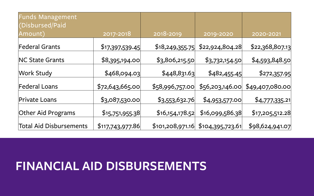| <b>Funds Management</b><br>(Disbursed/Paid |                  |                 |                                     |                 |
|--------------------------------------------|------------------|-----------------|-------------------------------------|-----------------|
| Amount)                                    | 2017-2018        | 2018-2019       | 2019-2020                           | 2020-2021       |
| <b>Federal Grants</b>                      | \$17,397,539.45  | \$18,249,355.75 | \$22,924,804.28                     | \$22,368,807.13 |
| <b>NC State Grants</b>                     | \$8,395,194.00   | \$3,806,215.50  | \$3,732,154.50                      | \$4,593,848.50  |
| Work Study                                 | \$468,094.03     | \$448,831.63    | \$482,455.45                        | \$272,357.95    |
| <b>Federal Loans</b>                       | \$72,643,665.00  | \$58,996,757.00 | \$56,203,146.00                     | \$49,407,080.00 |
| <b>Private Loans</b>                       | \$3,087,530.00   | \$3,553,632.76  | \$4,953,577.00                      | \$4,777,335.21  |
| Other Aid Programs                         | \$15,751,955.38  | \$16,154,178.52 | \$16,099,586.38                     | \$17,205,512.28 |
| <b>Total Aid Disbursements</b>             | \$117,743,977.86 |                 | $$101,208,971.16$ $$104,395,723.61$ | \$98,624,941.07 |

#### **FINANCIAL AID DISBURSEMENTS**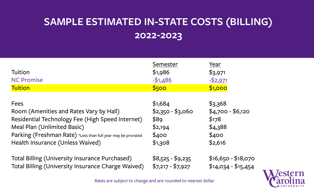#### **SAMPLE ESTIMATED IN-STATE COSTS (BILLING) 2022-2023**

| Tuition<br><b>NC Promise</b><br><b>Tuition</b>               | Semester<br>\$1,986<br>$- $1,486$<br>\$500 | Year<br>\$3,971<br>$-52,971$<br>\$1,000 |
|--------------------------------------------------------------|--------------------------------------------|-----------------------------------------|
| Fees                                                         | \$1,684                                    | \$3,368                                 |
| Room (Amenities and Rates Vary by Hall)                      | $$2,350 - $3,060$                          | $$4,700 - $6,120$                       |
| Residential Technology Fee (High Speed Internet)             | \$89                                       | \$178                                   |
| Meal Plan (Unlimited Basic)                                  | \$2,194                                    | \$4,388                                 |
| Parking (Freshman Rate) *Less than full year may be prorated | \$400                                      | \$400                                   |
| Health Insurance (Unless Waived)                             | \$1,308                                    | \$2,616                                 |
| Total Billing (University Insurance Purchased)               | $$8,525 - $9,235$                          | $$16,650 - $18,070$                     |
| Total Billing (University Insurance Charge Waived)           | $$7,217 - $7,927$                          | $$14,034 - $15,454$                     |



Rates are subject to change and are rounded to nearest dollar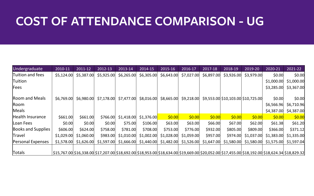#### **COST OF ATTENDANCE COMPARISON - UG**

| Undergraduate             | 2010-11                                                                                                                                         | 2011-12    | 2012-13    | 2013-14    | 2014-15                             | 2015-16    | 2016-17    | 2017-18    | 2018-19                            | 2019-20    | 2020-21                          | 2021-22     |
|---------------------------|-------------------------------------------------------------------------------------------------------------------------------------------------|------------|------------|------------|-------------------------------------|------------|------------|------------|------------------------------------|------------|----------------------------------|-------------|
| Tuition and fees          | \$5,124.00                                                                                                                                      | \$5,387.00 | \$5,925.00 | \$6,265.00 | \$6,305.00                          | \$6,643.00 | \$7,027.00 | \$6,897.00 | \$3,926.00                         | \$3,979.00 | \$0.00                           | \$0.00      |
| Tuition                   |                                                                                                                                                 |            |            |            |                                     |            |            |            |                                    |            | \$1,000.00                       | \$1,000.00] |
| Fees                      |                                                                                                                                                 |            |            |            |                                     |            |            |            |                                    |            | \$3,285.00                       | \$3,367.00  |
| Room and Meals            | \$6,769.00                                                                                                                                      | \$6,980.00 | \$7,178.00 | \$7,477.00 | \$8,016.00                          | \$8,665.00 | \$9,218.00 |            | \$9,553.00 \$10,103.00 \$10,725.00 |            | \$0.00                           | \$0.00      |
| Room                      |                                                                                                                                                 |            |            |            |                                     |            |            |            |                                    |            | \$6,566.96                       | \$6,710.96  |
| Meals                     |                                                                                                                                                 |            |            |            |                                     |            |            |            |                                    |            | \$4,387.00                       | \$4,387.00  |
| Health Insurance          | \$661.00                                                                                                                                        | \$661.00   | \$766.00   | \$1,418.00 | \$1,376.00                          | \$0.00     | \$0.00     | 50.00      | \$0.00                             | \$0.00     | \$0.00                           | \$0.00      |
| Loan Fees                 | \$0.00                                                                                                                                          | \$0.00     | \$0.00     | \$75.00    | \$106.00                            | \$63.00    | \$63.00    | \$66.00    | \$67.00                            | \$62.00    | \$61.38                          | \$61.20     |
| <b>Books and Supplies</b> | \$606.00                                                                                                                                        | \$624.00   | \$758.00   | \$781.00   | \$708.00                            | \$753.00   | \$776.00   | \$932.00   | \$805.00                           | \$809.00   | \$366.00                         | \$371.12    |
| Travel                    | \$1,029.00                                                                                                                                      | \$1,060.00 | \$983.00   | \$1,010.00 | \$1,002.00                          | \$1,028.00 | \$1,059.00 | \$957.00   | \$974.00                           | \$1,037.00 | \$1,383.00                       | \$1,335.00  |
| Personal Expenses         | \$1,578.00                                                                                                                                      | \$1,626.00 | \$1,597.00 |            | $$1,666.00$ $$1,440.00$ $$1,482.00$ |            | \$1,526.00 | \$1,647.00 | \$1,580.00                         |            | \$1,580.00 \$1,575.00 \$1,597.04 |             |
| Totals                    | \$15,767.00 \$16,338.00 \$17,207.00 \$18,692.00 \$18,953.00 \$18,634.00 \$19,669.00 \$20,052.00 \$17,455.00 \$18,192.00 \$18,624.34 \$18,829.32 |            |            |            |                                     |            |            |            |                                    |            |                                  |             |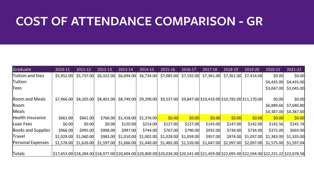#### **COST OF ATTENDANCE COMPARISON - GR**

| Graduate                  | 2010-11                                                                                                                                         | 2011-12    | 2012-13    | 2013-14    | 2014-15    | 2015-16                                         | 2016-17    | 2017-18    | 2018-19                                                        | 2019-20    | 2020-21                 | 2021-22    |
|---------------------------|-------------------------------------------------------------------------------------------------------------------------------------------------|------------|------------|------------|------------|-------------------------------------------------|------------|------------|----------------------------------------------------------------|------------|-------------------------|------------|
| Tuition and fees          | \$5,452.00                                                                                                                                      | \$5,737.00 | \$6,322.00 | \$6,694.00 | \$6,734.00 | \$7,085.00                                      | \$7,192.00 | \$7,361.00 | \$7,361.00                                                     | \$7,414.00 | \$0.00                  | \$0.00     |
| <b>Tuition</b>            |                                                                                                                                                 |            |            |            |            |                                                 |            |            |                                                                |            | \$4,435.00              | \$4,435.00 |
| Fees                      |                                                                                                                                                 |            |            |            |            |                                                 |            |            |                                                                |            | \$3,047.00              | \$3,045.00 |
|                           |                                                                                                                                                 |            |            |            |            |                                                 |            |            |                                                                |            |                         |            |
| Room and Meals            | \$7,966.00                                                                                                                                      | \$8,205.00 | \$8,401.00 | \$8,749.00 | \$9,290.00 | \$9,537.00                                      |            |            | $$9,847.00 \times 10,419.00 \times 10,782.00 \times 11,170.00$ |            | \$0.00                  | \$0.00     |
| <b>Room</b>               |                                                                                                                                                 |            |            |            |            |                                                 |            |            |                                                                |            | \$6,889.66              | \$7,040.80 |
| Meals                     |                                                                                                                                                 |            |            |            |            |                                                 |            |            |                                                                |            | \$4,387.00              | \$4,387.00 |
| Health Insurance          | \$661.00                                                                                                                                        | \$661.00   | \$766.00   | \$1,418.00 | \$1,376.00 | \$0.00                                          | \$0.00     | \$0.00     | \$0.00                                                         | \$0.00     | \$0.00                  | \$0.00     |
| Loan Fees                 | \$0.00                                                                                                                                          | \$0.00     | \$0.00     | \$120.00   | \$214.00   | \$127.00                                        | \$127.00   | \$143.00   | \$147.00                                                       | \$142.00   | \$142.56                | \$145.74   |
| <b>Books and Supplies</b> | \$966.00                                                                                                                                        | \$995.00   | \$908.00   | \$947.00   | \$744.00   | \$767.00                                        | \$790.00   | \$932.00   | \$734.00                                                       | \$734.00   | \$372.00                | \$693.00   |
| Travel                    | \$1,029.00                                                                                                                                      | \$1,060.00 | \$983.00   | \$1,010.00 | \$1,002.00 | \$1,028.00                                      | \$1,059.00 | \$957.00   | \$974.00                                                       | \$1,037.00 | \$1,383.00              | \$1,335.00 |
| Personal Expenses         | \$1,578.00                                                                                                                                      | \$1,626.00 | \$1,597.00 |            |            | $$1,666.00$ $$1,440.00$ $$1,482.00$ $$1,526.00$ |            | \$1,647.00 | \$2,097.00                                                     |            | $$2,097.00$ $$1,575.00$ | \$1,597.04 |
|                           |                                                                                                                                                 |            |            |            |            |                                                 |            |            |                                                                |            |                         |            |
| Totals                    | \$17,652.00 \$18,284.00 \$18,977.00 \$20,604.00 \$20,800.00 \$20,026.00 \$20,541.00 \$21,459.00 \$22,095.00 \$22,594.00 \$22,231.22 \$22,678.58 |            |            |            |            |                                                 |            |            |                                                                |            |                         |            |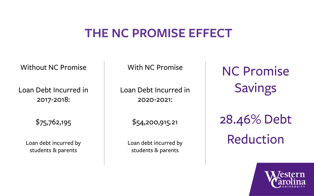#### **THE NC PROMISE EFFECT**

Without NC Promise

Loan Debt Incurred in 2017-2018:

\$75,762,195

Loan debt incurred by students & parents

With NC Promise

Loan Debt Incurred in 2020-2021:

\$54,200,915.21

Loan debt incurred by students & parents

NC Promise Savings

28.46% Debt Reduction

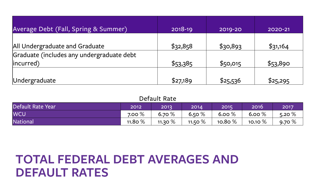| Average Debt (Fall, Spring & Summer)      | 2018-19  | 2019-20  | 2020-21  |
|-------------------------------------------|----------|----------|----------|
| All Undergraduate and Graduate            | \$32,858 | \$30,893 | \$31,164 |
| Graduate (includes any undergraduate debt |          |          |          |
| incurred)                                 | \$53,385 | \$50,015 | \$53,890 |
| Undergraduate                             | \$27,189 | \$25,536 | \$25,295 |

| Default Rate |  |
|--------------|--|
|--------------|--|

| Default Rate Year | 2012       | 2013      | 2014'      | 2015       | 2016       | 2017  |
|-------------------|------------|-----------|------------|------------|------------|-------|
| <b>WCU</b>        | 7.00 $\%$  | 6.70%     | 6.50 $\%$  | 6.00%      | 6.00 $\%$  | 5.20% |
| <b>National</b>   | 11.80 $\%$ | 11.30 $%$ | 11.50 $\%$ | 10.80 $\%$ | 10.10 $\%$ | 9.70% |

#### **TOTAL FEDERAL DEBT AVERAGES AND DEFAULT RATES**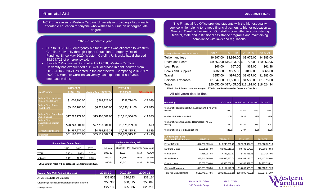#### **Financial Aid 2020-2021 FINAL**

NC Promise assists Western Carolina University in providing a high-quality, affordable education for anyone who wishes to pursue an undergraduate degree.

#### 2020-21 academic year:

- Due to COVID-19, emergency aid for students was allocated to Western Carolina University through Higher Education Emergency Relief Funding. Since May 2020, Western Carolina University has disbursed \$8,694,711 of emergency aid.
- Since NC Promise went into effect fall 2018, Western Carolina University has experienced a 11.42% decrease in debt incurred from 2019-20 to 2020-21 as noted in the chart below. Comparing 2018-19 to 2020-21, Western Carolina University has experienced a 13.38% decrease in debt.

|                                                             | 2019-2020         |                    | 2020-2021         |                |
|-------------------------------------------------------------|-------------------|--------------------|-------------------|----------------|
| Loan Program                                                | <b>Final Paid</b> | 2020-2021 Accepted | <b>Final Paid</b> | Difference +/- |
|                                                             |                   |                    |                   |                |
| <b>Federal Direct Graduate</b><br><b>Student PLUS Loans</b> | \$1,006,290.00    | \$768,325.00       | \$733,714.00      | $-27.09%$      |
| <b>Federal Direct Parent</b><br><b>PLUS Loans</b>           | \$9,170,703.00    | \$6,928,960.00     | \$6,636,171.00    | $-27.64%$      |
|                                                             |                   |                    |                   |                |
| <b>Federal Direct Subsidized</b><br><b>Student Loans</b>    | \$17,282,272.00   | \$15,406,501.00    | \$15,211,956.00   | $-11.98%$      |
| <b>Federal Direct</b>                                       |                   |                    |                   |                |
| <b>Unsubsidized Student</b><br>Loans                        | \$28,743,881.00   | \$27,233,981.00    | \$26,825,239.00   | $-6.67%$       |
| <b>Private Student Loans</b>                                | \$4,987,277.00    | \$4,793,835.21     | \$4,793,835.21    | $-3.88%$       |
| <b>Total Debt</b>                                           | \$61,190,423.00   | \$55,131,602.21    | \$54,200,915.21   | $-11.42%$      |

| <b>Student Loan Default Rates</b> |         |        |       |  |  |  |  |
|-----------------------------------|---------|--------|-------|--|--|--|--|
|                                   | 2015    | 2016   | 2017  |  |  |  |  |
| <b>WCU</b>                        | 6.00%   | 6.00%  | 5.20% |  |  |  |  |
| National                          | 10.80 % | 10.10% | 9.70% |  |  |  |  |

| <b>Students Receiving Pell</b> |                 |                            |        |  |  |  |  |
|--------------------------------|-----------------|----------------------------|--------|--|--|--|--|
|                                | UG              |                            |        |  |  |  |  |
| Aid Year                       | <b>Students</b> | Pell Recipients Percentage |        |  |  |  |  |
| 2018-19                        | 10,027          | 4,154                      | 41.43% |  |  |  |  |
| 2019-20                        | 10,469          | 4,058                      | 38.76% |  |  |  |  |
| 2020-21                        | 10,517          | 3,887                      | 36.96% |  |  |  |  |

**2018 Default rates will be released late September 2021**

| Average Debt (Fall, Spring & Summer)                | 2018-19  | 2019-20  | 2020-21  |
|-----------------------------------------------------|----------|----------|----------|
| All Undergraduate and Graduate                      | \$32.858 | \$30.893 | \$31,164 |
| Graduate (includes any undergraduate debt incurred) | \$53,385 | \$50,015 | \$53,890 |
| Undergraduate                                       | \$27.189 | \$25.536 | \$25,295 |

The Financial Aid Office provides students with the highest quality service while helping to remove financial barriers to higher education at Western Carolina University. Our staff is committed to administering federal, state and institutional assistance programs and maintaining compliance with laws and regulations.

| <b>Undergraduate Cost of Attendance</b> | 2017-18    | 2018-19    | 2019-20    | 2020-21                                         |
|-----------------------------------------|------------|------------|------------|-------------------------------------------------|
| Tuition and fees                        | \$6,897.00 | \$3,926.00 | \$3,979.00 | \$4,285.00                                      |
| Room and Board                          |            |            |            | \$9,553.00 \$10,103.00 \$10,725.00 \$10,953.96  |
| Loan Fees                               | \$66.00    | \$67,00    | \$62.00    | \$61.38                                         |
| <b>Books and Supplies</b>               | \$932.00   | \$805.00   | \$809.00   | \$366.00                                        |
| Travel                                  | \$957.00   | \$974.00   | \$1.037.00 | \$1,383.00                                      |
| <b>Personal Expenses</b>                | \$1,647.00 | \$1,580.00 | \$1,580.00 | \$1,575.00                                      |
| Totals                                  |            |            |            | \$20,052.00 \$17,455.00 \$18,192.00 \$18,624.34 |

**2020-21 Book Rental costs are now part of Tuition and Fees instead of Books and Supplies**

**All aid years data is final**

| Processing                                                       | 2017-2018 | 2018-2019 | 2019-2020 | 2020-2021 |
|------------------------------------------------------------------|-----------|-----------|-----------|-----------|
| Number of Federal Student Aid Applications (FAFSA's)<br>received | 20397     | 21760     | 20891     | 20617     |
| Number of FAFSA's verified                                       | 2080      | 3486      | 2855      | 2766      |
| Number of students packaged (completed FAFSA<br>results)         | 13397     | 13281     | 13753     | 14061     |
| Number of summer aid applications                                | 2300      | 2437      | 2268      | 2520      |

| <b>Funds Management</b><br>(Disbursed/Paid Amount) | 2017-2018        | 2018-2019        | 2019-2020        | 2020-2021       |
|----------------------------------------------------|------------------|------------------|------------------|-----------------|
| <b>Federal Grants</b>                              | \$17,397,539.45  | \$18,249,355.75  | \$22,924,804.28  | \$22,368,807.13 |
| <b>INC State Grants</b>                            | \$8,395,194.00   | \$3,806,215.50   | \$3,732,154.50   | \$4,593,848.50  |
| Work Study                                         | \$468,094.03     | \$448,831.63     | \$482,455.45     | \$272,357.95    |
| <b>Federal Loans</b>                               | \$72,643,665.00  | \$58,996,757.00  | \$56,203,146.00  | \$49,407,080.00 |
| Private Loans                                      | \$3,087,530.00   | \$3,553,632.76   | \$4,953,577.00   | \$4,777,335.21  |
| Other Aid Programs                                 | \$15,751,955.38  | \$16,154,178.52  | \$16,099,586.38  | \$17,205,512.28 |
| Total Aid Disbursements                            | \$117,743,977.86 | \$101,208,971.16 | \$104,395,723.61 | \$98,624,941.07 |



Financial Aid Office 105 Cordelia Camp 828.227.7290 finaid@wcu.edu